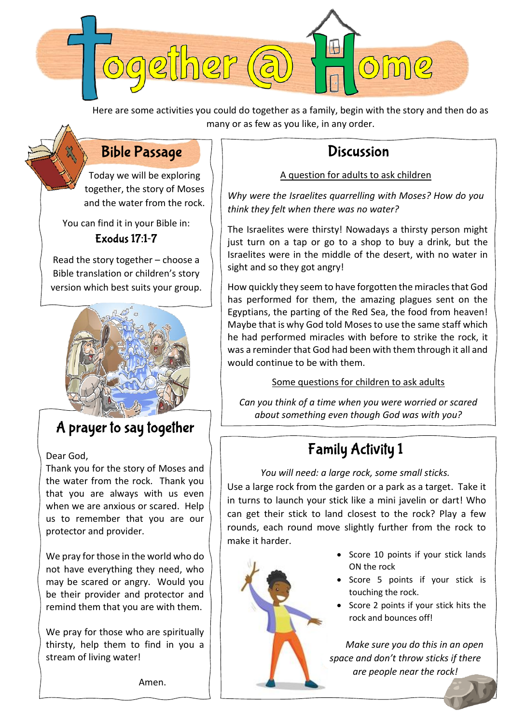

Here are some activities you could do together as a family, begin with the story and then do as many or as few as you like, in any order.

#### **Bible Passage**

Today we will be exploring together, the story of Moses and the water from the rock.

You can find it in your Bible in: **Exodus 17:1-7** 

Read the story together – choose a Bible translation or children's story version which best suits your group.



### A prayer to say together

Dear God,

Thank you for the story of Moses and the water from the rock. Thank you that you are always with us even when we are anxious or scared. Help us to remember that you are our protector and provider.

We pray for those in the world who do not have everything they need, who may be scared or angry. Would you be their provider and protector and remind them that you are with them.

We pray for those who are spiritually thirsty, help them to find in you a stream of living water!

Amen.

### **Discussion**

#### A question for adults to ask children

*Why were the Israelites quarrelling with Moses? How do you think they felt when there was no water?*

The Israelites were thirsty! Nowadays a thirsty person might just turn on a tap or go to a shop to buy a drink, but the Israelites were in the middle of the desert, with no water in sight and so they got angry!

How quickly they seem to have forgotten the miracles that God has performed for them, the amazing plagues sent on the Egyptians, the parting of the Red Sea, the food from heaven! Maybe that is why God told Moses to use the same staff which he had performed miracles with before to strike the rock, it was a reminder that God had been with them through it all and would continue to be with them.

Some questions for children to ask adults

*Can you think of a time when you were worried or scared about something even though God was with you?*

## **Family Activity 1**

*You will need: a large rock, some small sticks.* Use a large rock from the garden or a park as a target. Take it in turns to launch your stick like a mini javelin or dart! Who can get their stick to land closest to the rock? Play a few rounds, each round move slightly further from the rock to make it harder.



- Score 10 points if your stick lands ON the rock
- Score 5 points if your stick is touching the rock.
- Score 2 points if your stick hits the rock and bounces off!

*Make sure you do this in an open space and don't throw sticks if there are people near the rock!*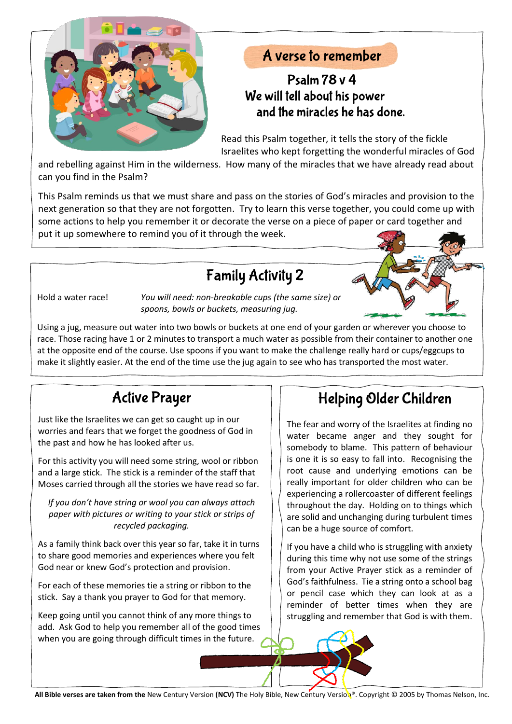

#### A verse to remember

#### Psalm  $78y4$ We will tell about his power and the miracles he has done.

Read this Psalm together, it tells the story of the fickle Israelites who kept forgetting the wonderful miracles of God

and rebelling against Him in the wilderness. How many of the miracles that we have already read about can you find in the Psalm?

This Psalm reminds us that we must share and pass on the stories of God's miracles and provision to the next generation so that they are not forgotten. Try to learn this verse together, you could come up with some actions to help you remember it or decorate the verse on a piece of paper or card together and put it up somewhere to remind you of it through the week.

### **Family Activity 2**

Hold a water race! *You will need: non-breakable cups (the same size) or spoons, bowls or buckets, measuring jug.*

Using a jug, measure out water into two bowls or buckets at one end of your garden or wherever you choose to race. Those racing have 1 or 2 minutes to transport a much water as possible from their container to another one at the opposite end of the course. Use spoons if you want to make the challenge really hard or cups/eggcups to make it slightly easier. At the end of the time use the jug again to see who has transported the most water.

# **Active Prayer**

Just like the Israelites we can get so caught up in our worries and fears that we forget the goodness of God in the past and how he has looked after us.

For this activity you will need some string, wool or ribbon and a large stick. The stick is a reminder of the staff that Moses carried through all the stories we have read so far.

*If you don't have string or wool you can always attach paper with pictures or writing to your stick or strips of recycled packaging.*

As a family think back over this year so far, take it in turns to share good memories and experiences where you felt God near or knew God's protection and provision.

For each of these memories tie a string or ribbon to the stick. Say a thank you prayer to God for that memory.

Keep going until you cannot think of any more things to add. Ask God to help you remember all of the good times when you are going through difficult times in the future.

## Helping Older Children

The fear and worry of the Israelites at finding no water became anger and they sought for somebody to blame. This pattern of behaviour is one it is so easy to fall into. Recognising the root cause and underlying emotions can be really important for older children who can be experiencing a rollercoaster of different feelings throughout the day. Holding on to things which are solid and unchanging during turbulent times can be a huge source of comfort.

If you have a child who is struggling with anxiety during this time why not use some of the strings from your Active Prayer stick as a reminder of God's faithfulness. Tie a string onto a school bag or pencil case which they can look at as a reminder of better times when they are struggling and remember that God is with them.

**All Bible verses are taken from the** [New Century Version](https://www.biblegateway.com/versions/New-Century-Version-NCV-Bible/) **(NCV)** The Holy Bible, New Century Version®. Copyright © 2005 by [Thomas Nelson, Inc.](http://nelsonbibles.com/)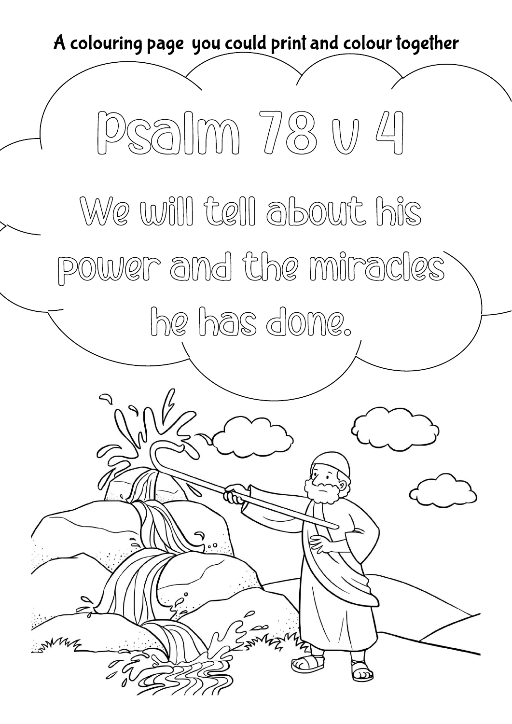